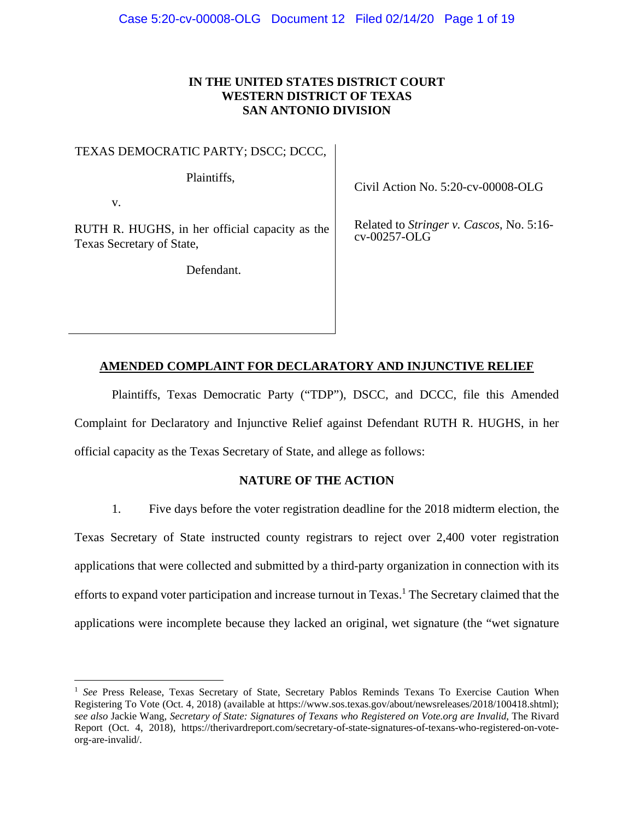# **IN THE UNITED STATES DISTRICT COURT WESTERN DISTRICT OF TEXAS SAN ANTONIO DIVISION**

TEXAS DEMOCRATIC PARTY; DSCC; DCCC,

Plaintiffs,

v.

 $\overline{a}$ 

RUTH R. HUGHS, in her official capacity as the Texas Secretary of State,

Defendant.

Civil Action No. 5:20-cv-00008-OLG

Related to *Stringer v. Cascos*, No. 5:16 cv-00257-OLG

## **AMENDED COMPLAINT FOR DECLARATORY AND INJUNCTIVE RELIEF**

 Plaintiffs, Texas Democratic Party ("TDP"), DSCC, and DCCC, file this Amended Complaint for Declaratory and Injunctive Relief against Defendant RUTH R. HUGHS, in her official capacity as the Texas Secretary of State, and allege as follows:

# **NATURE OF THE ACTION**

1. Five days before the voter registration deadline for the 2018 midterm election, the Texas Secretary of State instructed county registrars to reject over 2,400 voter registration applications that were collected and submitted by a third-party organization in connection with its efforts to expand voter participation and increase turnout in Texas.<sup>1</sup> The Secretary claimed that the applications were incomplete because they lacked an original, wet signature (the "wet signature

<sup>&</sup>lt;sup>1</sup> See Press Release, Texas Secretary of State, Secretary Pablos Reminds Texans To Exercise Caution When Registering To Vote (Oct. 4, 2018) (available at https://www.sos.texas.gov/about/newsreleases/2018/100418.shtml); *see also* Jackie Wang, *Secretary of State: Signatures of Texans who Registered on Vote.org are Invalid*, The Rivard Report (Oct. 4, 2018), https://therivardreport.com/secretary-of-state-signatures-of-texans-who-registered-on-voteorg-are-invalid/.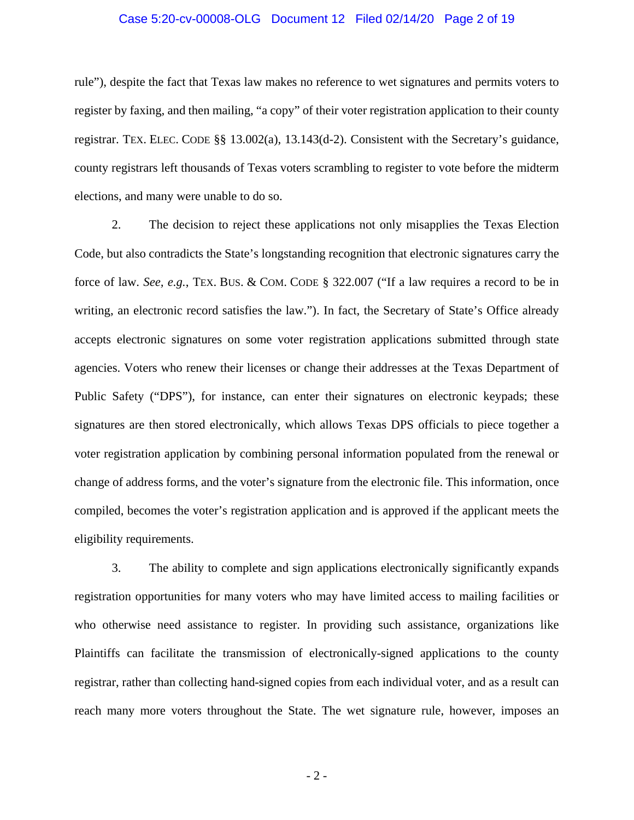#### Case 5:20-cv-00008-OLG Document 12 Filed 02/14/20 Page 2 of 19

rule"), despite the fact that Texas law makes no reference to wet signatures and permits voters to register by faxing, and then mailing, "a copy" of their voter registration application to their county registrar. TEX. ELEC. CODE §§ 13.002(a), 13.143(d-2). Consistent with the Secretary's guidance, county registrars left thousands of Texas voters scrambling to register to vote before the midterm elections, and many were unable to do so.

2. The decision to reject these applications not only misapplies the Texas Election Code, but also contradicts the State's longstanding recognition that electronic signatures carry the force of law. *See, e.g.*, TEX. BUS. & COM. CODE § 322.007 ("If a law requires a record to be in writing, an electronic record satisfies the law."). In fact, the Secretary of State's Office already accepts electronic signatures on some voter registration applications submitted through state agencies. Voters who renew their licenses or change their addresses at the Texas Department of Public Safety ("DPS"), for instance, can enter their signatures on electronic keypads; these signatures are then stored electronically, which allows Texas DPS officials to piece together a voter registration application by combining personal information populated from the renewal or change of address forms, and the voter's signature from the electronic file. This information, once compiled, becomes the voter's registration application and is approved if the applicant meets the eligibility requirements.

3. The ability to complete and sign applications electronically significantly expands registration opportunities for many voters who may have limited access to mailing facilities or who otherwise need assistance to register. In providing such assistance, organizations like Plaintiffs can facilitate the transmission of electronically-signed applications to the county registrar, rather than collecting hand-signed copies from each individual voter, and as a result can reach many more voters throughout the State. The wet signature rule, however, imposes an

 $-2-$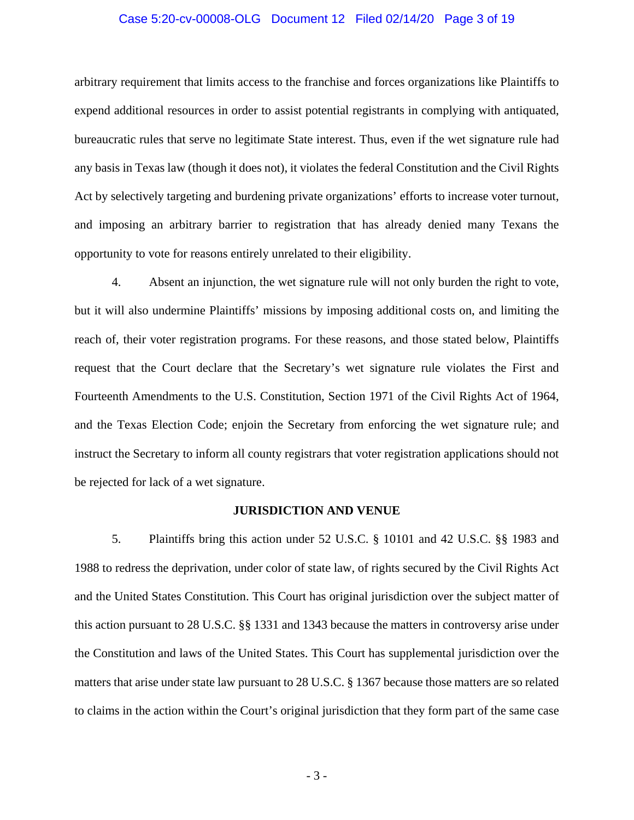#### Case 5:20-cv-00008-OLG Document 12 Filed 02/14/20 Page 3 of 19

arbitrary requirement that limits access to the franchise and forces organizations like Plaintiffs to expend additional resources in order to assist potential registrants in complying with antiquated, bureaucratic rules that serve no legitimate State interest. Thus, even if the wet signature rule had any basis in Texas law (though it does not), it violates the federal Constitution and the Civil Rights Act by selectively targeting and burdening private organizations' efforts to increase voter turnout, and imposing an arbitrary barrier to registration that has already denied many Texans the opportunity to vote for reasons entirely unrelated to their eligibility.

4. Absent an injunction, the wet signature rule will not only burden the right to vote, but it will also undermine Plaintiffs' missions by imposing additional costs on, and limiting the reach of, their voter registration programs. For these reasons, and those stated below, Plaintiffs request that the Court declare that the Secretary's wet signature rule violates the First and Fourteenth Amendments to the U.S. Constitution, Section 1971 of the Civil Rights Act of 1964, and the Texas Election Code; enjoin the Secretary from enforcing the wet signature rule; and instruct the Secretary to inform all county registrars that voter registration applications should not be rejected for lack of a wet signature.

#### **JURISDICTION AND VENUE**

5. Plaintiffs bring this action under 52 U.S.C. § 10101 and 42 U.S.C. §§ 1983 and 1988 to redress the deprivation, under color of state law, of rights secured by the Civil Rights Act and the United States Constitution. This Court has original jurisdiction over the subject matter of this action pursuant to 28 U.S.C. §§ 1331 and 1343 because the matters in controversy arise under the Constitution and laws of the United States. This Court has supplemental jurisdiction over the matters that arise under state law pursuant to 28 U.S.C. § 1367 because those matters are so related to claims in the action within the Court's original jurisdiction that they form part of the same case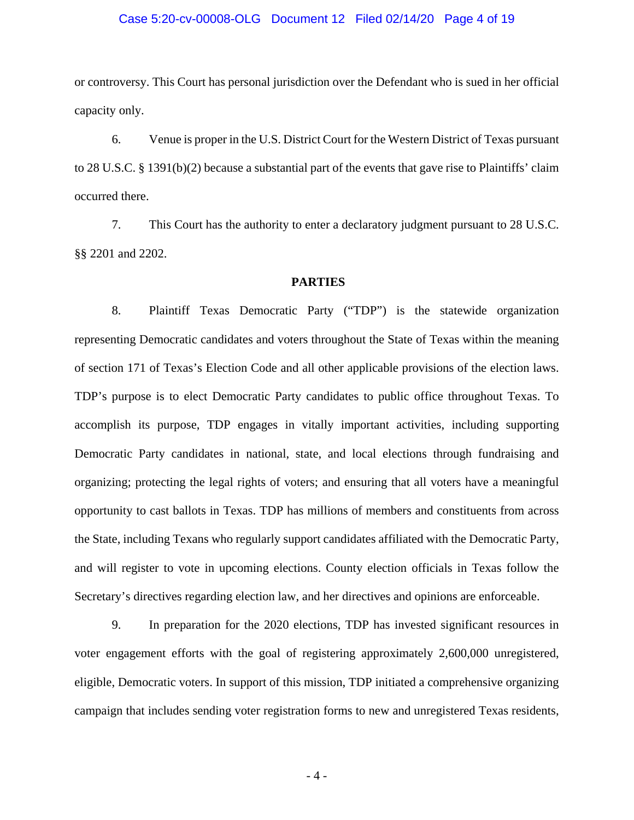#### Case 5:20-cv-00008-OLG Document 12 Filed 02/14/20 Page 4 of 19

or controversy. This Court has personal jurisdiction over the Defendant who is sued in her official capacity only.

6. Venue is proper in the U.S. District Court for the Western District of Texas pursuant to 28 U.S.C. § 1391(b)(2) because a substantial part of the events that gave rise to Plaintiffs' claim occurred there.

7. This Court has the authority to enter a declaratory judgment pursuant to 28 U.S.C. §§ 2201 and 2202.

#### **PARTIES**

8. Plaintiff Texas Democratic Party ("TDP") is the statewide organization representing Democratic candidates and voters throughout the State of Texas within the meaning of section 171 of Texas's Election Code and all other applicable provisions of the election laws. TDP's purpose is to elect Democratic Party candidates to public office throughout Texas. To accomplish its purpose, TDP engages in vitally important activities, including supporting Democratic Party candidates in national, state, and local elections through fundraising and organizing; protecting the legal rights of voters; and ensuring that all voters have a meaningful opportunity to cast ballots in Texas. TDP has millions of members and constituents from across the State, including Texans who regularly support candidates affiliated with the Democratic Party, and will register to vote in upcoming elections. County election officials in Texas follow the Secretary's directives regarding election law, and her directives and opinions are enforceable.

9. In preparation for the 2020 elections, TDP has invested significant resources in voter engagement efforts with the goal of registering approximately 2,600,000 unregistered, eligible, Democratic voters. In support of this mission, TDP initiated a comprehensive organizing campaign that includes sending voter registration forms to new and unregistered Texas residents,

 $-4-$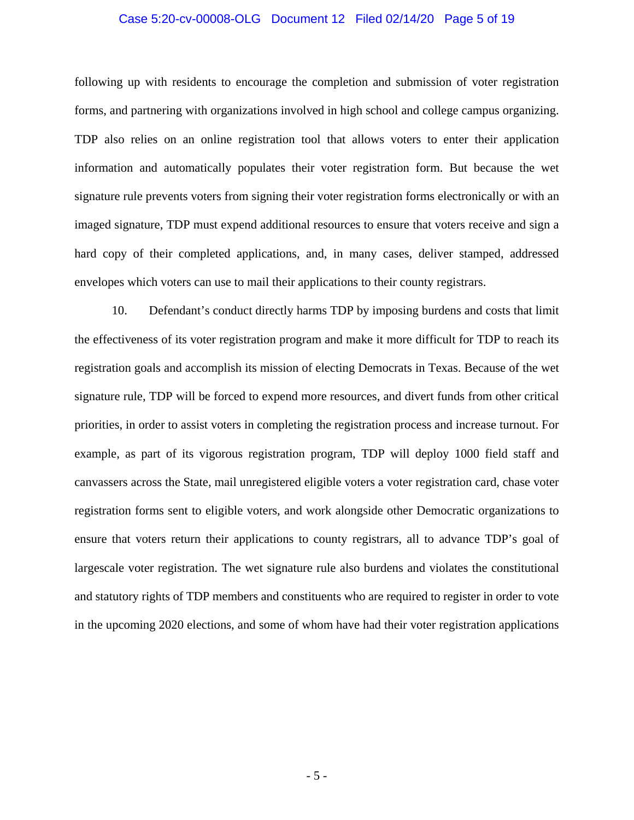#### Case 5:20-cv-00008-OLG Document 12 Filed 02/14/20 Page 5 of 19

following up with residents to encourage the completion and submission of voter registration forms, and partnering with organizations involved in high school and college campus organizing. TDP also relies on an online registration tool that allows voters to enter their application information and automatically populates their voter registration form. But because the wet signature rule prevents voters from signing their voter registration forms electronically or with an imaged signature, TDP must expend additional resources to ensure that voters receive and sign a hard copy of their completed applications, and, in many cases, deliver stamped, addressed envelopes which voters can use to mail their applications to their county registrars.

10. Defendant's conduct directly harms TDP by imposing burdens and costs that limit the effectiveness of its voter registration program and make it more difficult for TDP to reach its registration goals and accomplish its mission of electing Democrats in Texas. Because of the wet signature rule, TDP will be forced to expend more resources, and divert funds from other critical priorities, in order to assist voters in completing the registration process and increase turnout. For example, as part of its vigorous registration program, TDP will deploy 1000 field staff and canvassers across the State, mail unregistered eligible voters a voter registration card, chase voter registration forms sent to eligible voters, and work alongside other Democratic organizations to ensure that voters return their applications to county registrars, all to advance TDP's goal of largescale voter registration. The wet signature rule also burdens and violates the constitutional and statutory rights of TDP members and constituents who are required to register in order to vote in the upcoming 2020 elections, and some of whom have had their voter registration applications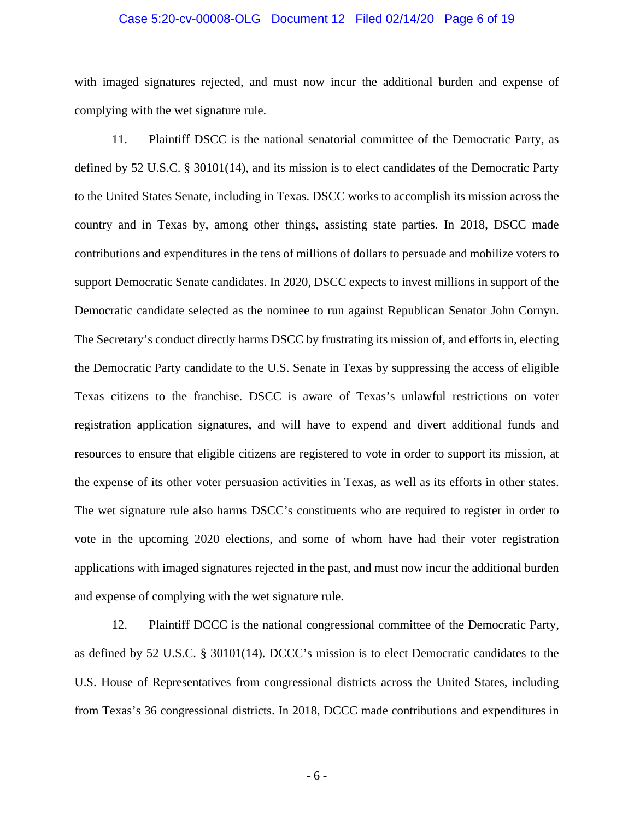#### Case 5:20-cv-00008-OLG Document 12 Filed 02/14/20 Page 6 of 19

with imaged signatures rejected, and must now incur the additional burden and expense of complying with the wet signature rule.

11. Plaintiff DSCC is the national senatorial committee of the Democratic Party, as defined by 52 U.S.C. § 30101(14), and its mission is to elect candidates of the Democratic Party to the United States Senate, including in Texas. DSCC works to accomplish its mission across the country and in Texas by, among other things, assisting state parties. In 2018, DSCC made contributions and expenditures in the tens of millions of dollars to persuade and mobilize voters to support Democratic Senate candidates. In 2020, DSCC expects to invest millions in support of the Democratic candidate selected as the nominee to run against Republican Senator John Cornyn. The Secretary's conduct directly harms DSCC by frustrating its mission of, and efforts in, electing the Democratic Party candidate to the U.S. Senate in Texas by suppressing the access of eligible Texas citizens to the franchise. DSCC is aware of Texas's unlawful restrictions on voter registration application signatures, and will have to expend and divert additional funds and resources to ensure that eligible citizens are registered to vote in order to support its mission, at the expense of its other voter persuasion activities in Texas, as well as its efforts in other states. The wet signature rule also harms DSCC's constituents who are required to register in order to vote in the upcoming 2020 elections, and some of whom have had their voter registration applications with imaged signatures rejected in the past, and must now incur the additional burden and expense of complying with the wet signature rule.

12. Plaintiff DCCC is the national congressional committee of the Democratic Party, as defined by 52 U.S.C. § 30101(14). DCCC's mission is to elect Democratic candidates to the U.S. House of Representatives from congressional districts across the United States, including from Texas's 36 congressional districts. In 2018, DCCC made contributions and expenditures in

 $-6-$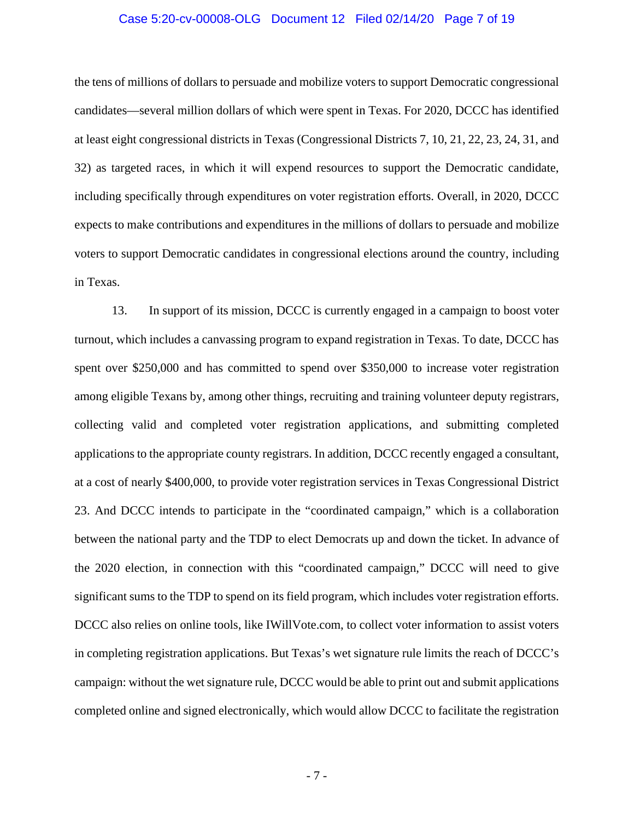#### Case 5:20-cv-00008-OLG Document 12 Filed 02/14/20 Page 7 of 19

the tens of millions of dollars to persuade and mobilize voters to support Democratic congressional candidates—several million dollars of which were spent in Texas. For 2020, DCCC has identified at least eight congressional districts in Texas (Congressional Districts 7, 10, 21, 22, 23, 24, 31, and 32) as targeted races, in which it will expend resources to support the Democratic candidate, including specifically through expenditures on voter registration efforts. Overall, in 2020, DCCC expects to make contributions and expenditures in the millions of dollars to persuade and mobilize voters to support Democratic candidates in congressional elections around the country, including in Texas.

13. In support of its mission, DCCC is currently engaged in a campaign to boost voter turnout, which includes a canvassing program to expand registration in Texas. To date, DCCC has spent over \$250,000 and has committed to spend over \$350,000 to increase voter registration among eligible Texans by, among other things, recruiting and training volunteer deputy registrars, collecting valid and completed voter registration applications, and submitting completed applications to the appropriate county registrars. In addition, DCCC recently engaged a consultant, at a cost of nearly \$400,000, to provide voter registration services in Texas Congressional District 23. And DCCC intends to participate in the "coordinated campaign," which is a collaboration between the national party and the TDP to elect Democrats up and down the ticket. In advance of the 2020 election, in connection with this "coordinated campaign," DCCC will need to give significant sums to the TDP to spend on its field program, which includes voter registration efforts. DCCC also relies on online tools, like IWillVote.com, to collect voter information to assist voters in completing registration applications. But Texas's wet signature rule limits the reach of DCCC's campaign: without the wet signature rule, DCCC would be able to print out and submit applications completed online and signed electronically, which would allow DCCC to facilitate the registration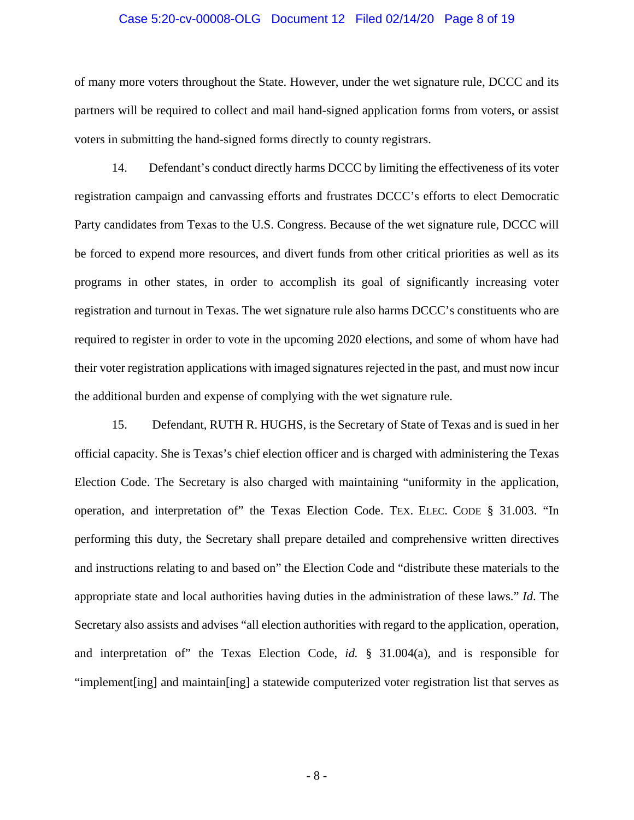#### Case 5:20-cv-00008-OLG Document 12 Filed 02/14/20 Page 8 of 19

of many more voters throughout the State. However, under the wet signature rule, DCCC and its partners will be required to collect and mail hand-signed application forms from voters, or assist voters in submitting the hand-signed forms directly to county registrars.

14. Defendant's conduct directly harms DCCC by limiting the effectiveness of its voter registration campaign and canvassing efforts and frustrates DCCC's efforts to elect Democratic Party candidates from Texas to the U.S. Congress. Because of the wet signature rule, DCCC will be forced to expend more resources, and divert funds from other critical priorities as well as its programs in other states, in order to accomplish its goal of significantly increasing voter registration and turnout in Texas. The wet signature rule also harms DCCC's constituents who are required to register in order to vote in the upcoming 2020 elections, and some of whom have had their voter registration applications with imaged signatures rejected in the past, and must now incur the additional burden and expense of complying with the wet signature rule.

15. Defendant, RUTH R. HUGHS, is the Secretary of State of Texas and is sued in her official capacity. She is Texas's chief election officer and is charged with administering the Texas Election Code. The Secretary is also charged with maintaining "uniformity in the application, operation, and interpretation of" the Texas Election Code. TEX. ELEC. CODE § 31.003. "In performing this duty, the Secretary shall prepare detailed and comprehensive written directives and instructions relating to and based on" the Election Code and "distribute these materials to the appropriate state and local authorities having duties in the administration of these laws." *Id*. The Secretary also assists and advises "all election authorities with regard to the application, operation, and interpretation of" the Texas Election Code, *id.* § 31.004(a), and is responsible for "implement[ing] and maintain[ing] a statewide computerized voter registration list that serves as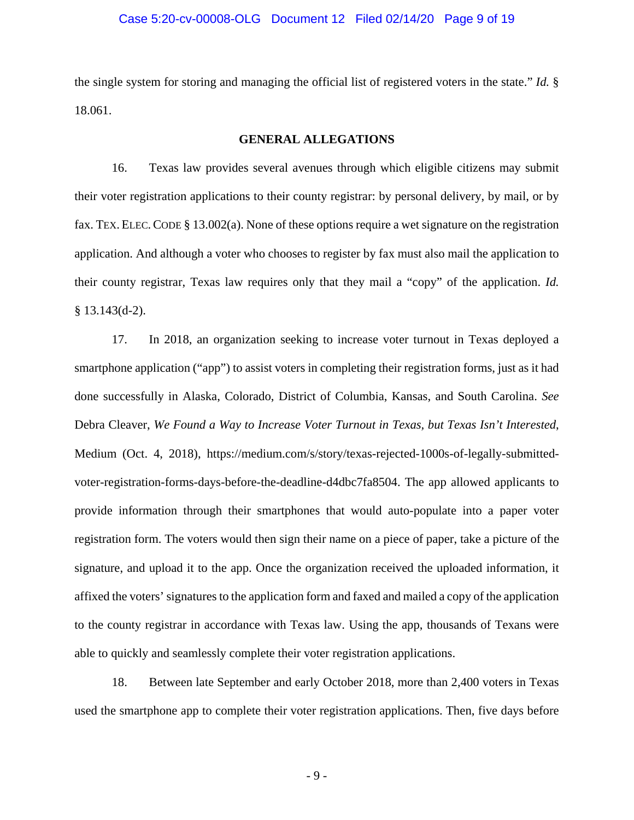#### Case 5:20-cv-00008-OLG Document 12 Filed 02/14/20 Page 9 of 19

the single system for storing and managing the official list of registered voters in the state." *Id.* § 18.061.

#### **GENERAL ALLEGATIONS**

16. Texas law provides several avenues through which eligible citizens may submit their voter registration applications to their county registrar: by personal delivery, by mail, or by fax. TEX. ELEC.CODE § 13.002(a). None of these options require a wet signature on the registration application. And although a voter who chooses to register by fax must also mail the application to their county registrar, Texas law requires only that they mail a "copy" of the application. *Id.*  § 13.143(d-2).

17. In 2018, an organization seeking to increase voter turnout in Texas deployed a smartphone application ("app") to assist voters in completing their registration forms, just as it had done successfully in Alaska, Colorado, District of Columbia, Kansas, and South Carolina. *See* Debra Cleaver, *We Found a Way to Increase Voter Turnout in Texas, but Texas Isn't Interested*, Medium (Oct. 4, 2018), https://medium.com/s/story/texas-rejected-1000s-of-legally-submittedvoter-registration-forms-days-before-the-deadline-d4dbc7fa8504. The app allowed applicants to provide information through their smartphones that would auto-populate into a paper voter registration form. The voters would then sign their name on a piece of paper, take a picture of the signature, and upload it to the app. Once the organization received the uploaded information, it affixed the voters' signatures to the application form and faxed and mailed a copy of the application to the county registrar in accordance with Texas law. Using the app, thousands of Texans were able to quickly and seamlessly complete their voter registration applications.

18. Between late September and early October 2018, more than 2,400 voters in Texas used the smartphone app to complete their voter registration applications. Then, five days before

 $-9-$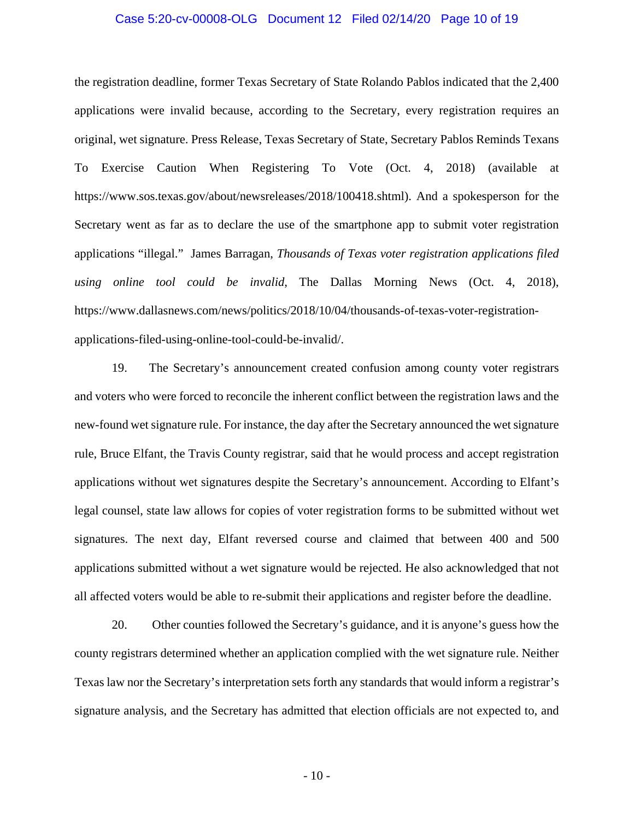#### Case 5:20-cv-00008-OLG Document 12 Filed 02/14/20 Page 10 of 19

the registration deadline, former Texas Secretary of State Rolando Pablos indicated that the 2,400 applications were invalid because, according to the Secretary, every registration requires an original, wet signature. Press Release, Texas Secretary of State, Secretary Pablos Reminds Texans To Exercise Caution When Registering To Vote (Oct. 4, 2018) (available at https://www.sos.texas.gov/about/newsreleases/2018/100418.shtml). And a spokesperson for the Secretary went as far as to declare the use of the smartphone app to submit voter registration applications "illegal." James Barragan, *Thousands of Texas voter registration applications filed using online tool could be invalid*, The Dallas Morning News (Oct. 4, 2018), https://www.dallasnews.com/news/politics/2018/10/04/thousands-of-texas-voter-registrationapplications-filed-using-online-tool-could-be-invalid/.

19. The Secretary's announcement created confusion among county voter registrars and voters who were forced to reconcile the inherent conflict between the registration laws and the new-found wet signature rule. For instance, the day after the Secretary announced the wet signature rule, Bruce Elfant, the Travis County registrar, said that he would process and accept registration applications without wet signatures despite the Secretary's announcement. According to Elfant's legal counsel, state law allows for copies of voter registration forms to be submitted without wet signatures. The next day, Elfant reversed course and claimed that between 400 and 500 applications submitted without a wet signature would be rejected. He also acknowledged that not all affected voters would be able to re-submit their applications and register before the deadline.

20. Other counties followed the Secretary's guidance, and it is anyone's guess how the county registrars determined whether an application complied with the wet signature rule. Neither Texas law nor the Secretary's interpretation sets forth any standards that would inform a registrar's signature analysis, and the Secretary has admitted that election officials are not expected to, and

 $-10-$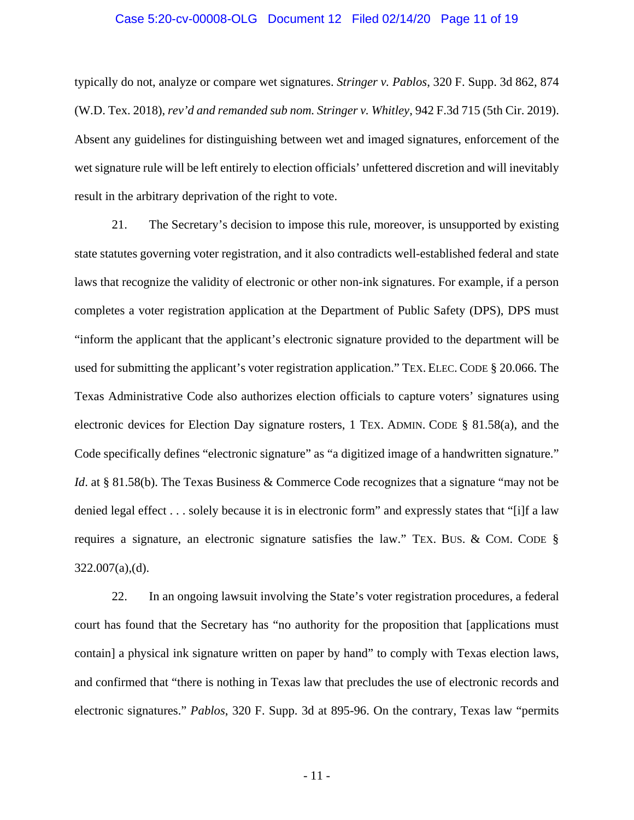#### Case 5:20-cv-00008-OLG Document 12 Filed 02/14/20 Page 11 of 19

typically do not, analyze or compare wet signatures. *Stringer v. Pablos*, 320 F. Supp. 3d 862, 874 (W.D. Tex. 2018), *rev'd and remanded sub nom. Stringer v. Whitley*, 942 F.3d 715 (5th Cir. 2019). Absent any guidelines for distinguishing between wet and imaged signatures, enforcement of the wet signature rule will be left entirely to election officials' unfettered discretion and will inevitably result in the arbitrary deprivation of the right to vote.

21. The Secretary's decision to impose this rule, moreover, is unsupported by existing state statutes governing voter registration, and it also contradicts well-established federal and state laws that recognize the validity of electronic or other non-ink signatures. For example, if a person completes a voter registration application at the Department of Public Safety (DPS), DPS must "inform the applicant that the applicant's electronic signature provided to the department will be used for submitting the applicant's voter registration application." TEX. ELEC. CODE § 20.066. The Texas Administrative Code also authorizes election officials to capture voters' signatures using electronic devices for Election Day signature rosters, 1 TEX. ADMIN. CODE § 81.58(a), and the Code specifically defines "electronic signature" as "a digitized image of a handwritten signature." *Id.* at § 81.58(b). The Texas Business & Commerce Code recognizes that a signature "may not be denied legal effect . . . solely because it is in electronic form" and expressly states that "[i]f a law requires a signature, an electronic signature satisfies the law." TEX. BUS. & COM. CODE § 322.007(a),(d).

22. In an ongoing lawsuit involving the State's voter registration procedures, a federal court has found that the Secretary has "no authority for the proposition that [applications must contain] a physical ink signature written on paper by hand" to comply with Texas election laws, and confirmed that "there is nothing in Texas law that precludes the use of electronic records and electronic signatures." *Pablos*, 320 F. Supp. 3d at 895-96. On the contrary, Texas law "permits

 $-11$  -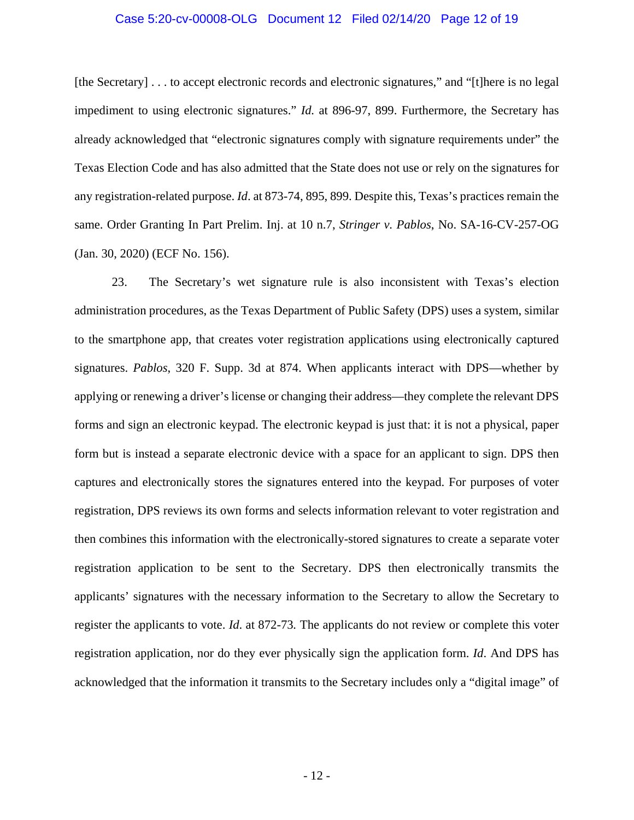#### Case 5:20-cv-00008-OLG Document 12 Filed 02/14/20 Page 12 of 19

[the Secretary] . . . to accept electronic records and electronic signatures," and "[t]here is no legal impediment to using electronic signatures." *Id.* at 896-97, 899. Furthermore, the Secretary has already acknowledged that "electronic signatures comply with signature requirements under" the Texas Election Code and has also admitted that the State does not use or rely on the signatures for any registration-related purpose. *Id*. at 873-74, 895, 899. Despite this, Texas's practices remain the same. Order Granting In Part Prelim. Inj. at 10 n.7, *Stringer v. Pablos*, No. SA-16-CV-257-OG (Jan. 30, 2020) (ECF No. 156).

23. The Secretary's wet signature rule is also inconsistent with Texas's election administration procedures, as the Texas Department of Public Safety (DPS) uses a system, similar to the smartphone app, that creates voter registration applications using electronically captured signatures. *Pablos*, 320 F. Supp. 3d at 874. When applicants interact with DPS—whether by applying or renewing a driver's license or changing their address—they complete the relevant DPS forms and sign an electronic keypad. The electronic keypad is just that: it is not a physical, paper form but is instead a separate electronic device with a space for an applicant to sign. DPS then captures and electronically stores the signatures entered into the keypad. For purposes of voter registration, DPS reviews its own forms and selects information relevant to voter registration and then combines this information with the electronically-stored signatures to create a separate voter registration application to be sent to the Secretary. DPS then electronically transmits the applicants' signatures with the necessary information to the Secretary to allow the Secretary to register the applicants to vote. *Id*. at 872-73*.* The applicants do not review or complete this voter registration application, nor do they ever physically sign the application form. *Id*. And DPS has acknowledged that the information it transmits to the Secretary includes only a "digital image" of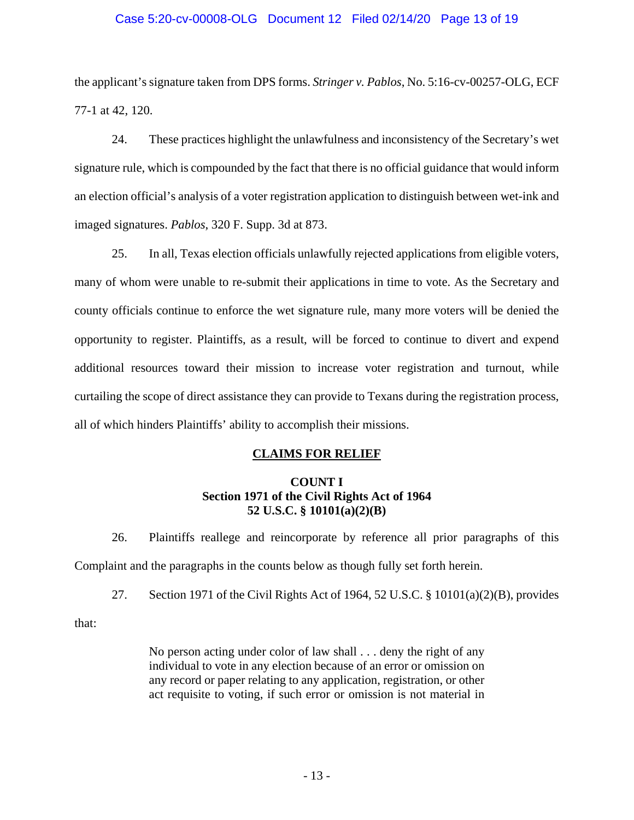### Case 5:20-cv-00008-OLG Document 12 Filed 02/14/20 Page 13 of 19

the applicant's signature taken from DPS forms. *Stringer v. Pablos*, No. 5:16-cv-00257-OLG, ECF 77-1 at 42, 120.

24. These practices highlight the unlawfulness and inconsistency of the Secretary's wet signature rule, which is compounded by the fact that there is no official guidance that would inform an election official's analysis of a voter registration application to distinguish between wet-ink and imaged signatures. *Pablos*, 320 F. Supp. 3d at 873.

25. In all, Texas election officials unlawfully rejected applications from eligible voters, many of whom were unable to re-submit their applications in time to vote. As the Secretary and county officials continue to enforce the wet signature rule, many more voters will be denied the opportunity to register. Plaintiffs, as a result, will be forced to continue to divert and expend additional resources toward their mission to increase voter registration and turnout, while curtailing the scope of direct assistance they can provide to Texans during the registration process, all of which hinders Plaintiffs' ability to accomplish their missions.

## **CLAIMS FOR RELIEF**

## **COUNT I Section 1971 of the Civil Rights Act of 1964 52 U.S.C. § 10101(a)(2)(B)**

26. Plaintiffs reallege and reincorporate by reference all prior paragraphs of this Complaint and the paragraphs in the counts below as though fully set forth herein.

27. Section 1971 of the Civil Rights Act of 1964, 52 U.S.C. § 10101(a)(2)(B), provides

that:

No person acting under color of law shall . . . deny the right of any individual to vote in any election because of an error or omission on any record or paper relating to any application, registration, or other act requisite to voting, if such error or omission is not material in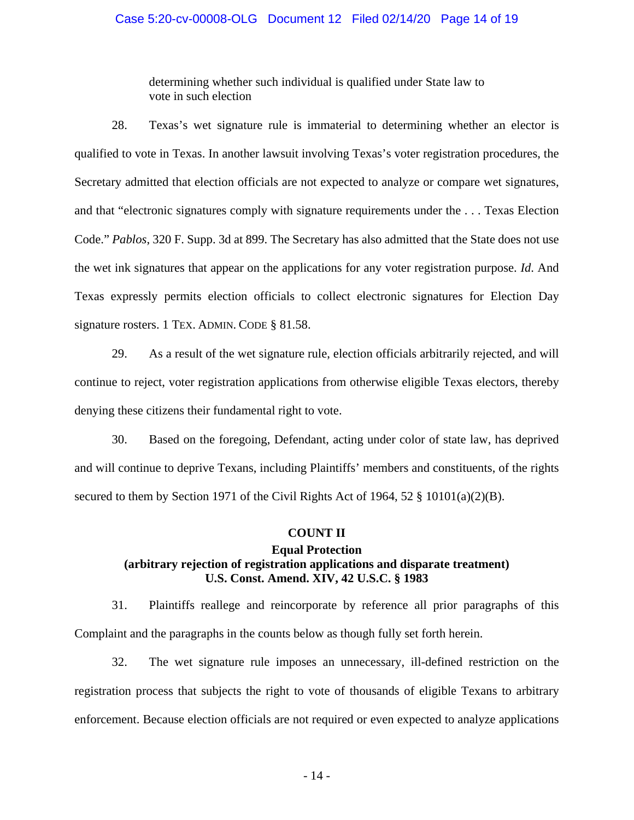#### Case 5:20-cv-00008-OLG Document 12 Filed 02/14/20 Page 14 of 19

determining whether such individual is qualified under State law to vote in such election

28. Texas's wet signature rule is immaterial to determining whether an elector is qualified to vote in Texas. In another lawsuit involving Texas's voter registration procedures, the Secretary admitted that election officials are not expected to analyze or compare wet signatures, and that "electronic signatures comply with signature requirements under the . . . Texas Election Code." *Pablos*, 320 F. Supp. 3d at 899. The Secretary has also admitted that the State does not use the wet ink signatures that appear on the applications for any voter registration purpose. *Id*. And Texas expressly permits election officials to collect electronic signatures for Election Day signature rosters. 1 TEX. ADMIN. CODE § 81.58.

29. As a result of the wet signature rule, election officials arbitrarily rejected, and will continue to reject, voter registration applications from otherwise eligible Texas electors, thereby denying these citizens their fundamental right to vote.

30. Based on the foregoing, Defendant, acting under color of state law, has deprived and will continue to deprive Texans, including Plaintiffs' members and constituents, of the rights secured to them by Section 1971 of the Civil Rights Act of 1964, 52 § 10101(a)(2)(B).

#### **COUNT II**

# **Equal Protection (arbitrary rejection of registration applications and disparate treatment) U.S. Const. Amend. XIV, 42 U.S.C. § 1983**

31. Plaintiffs reallege and reincorporate by reference all prior paragraphs of this Complaint and the paragraphs in the counts below as though fully set forth herein.

32. The wet signature rule imposes an unnecessary, ill-defined restriction on the registration process that subjects the right to vote of thousands of eligible Texans to arbitrary enforcement. Because election officials are not required or even expected to analyze applications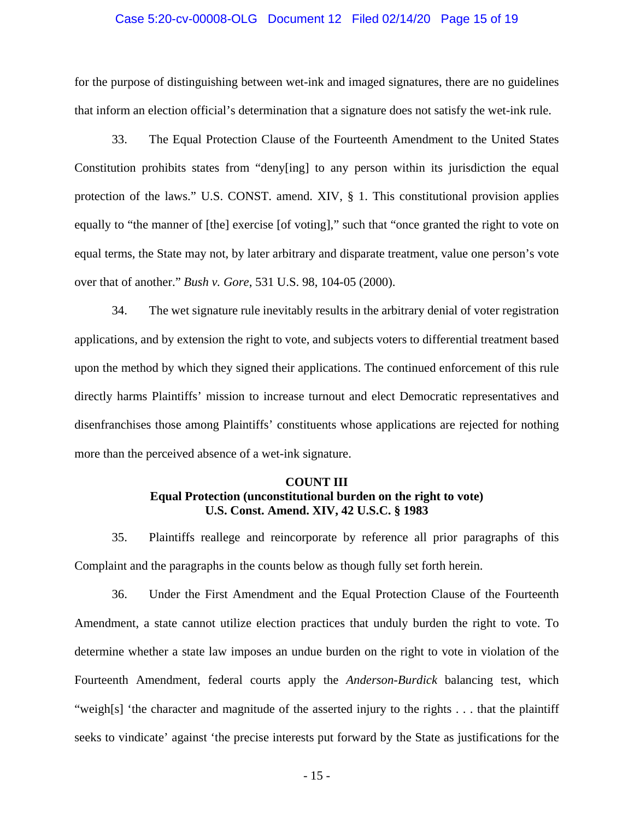#### Case 5:20-cv-00008-OLG Document 12 Filed 02/14/20 Page 15 of 19

for the purpose of distinguishing between wet-ink and imaged signatures, there are no guidelines that inform an election official's determination that a signature does not satisfy the wet-ink rule.

33. The Equal Protection Clause of the Fourteenth Amendment to the United States Constitution prohibits states from "deny[ing] to any person within its jurisdiction the equal protection of the laws." U.S. CONST. amend. XIV, § 1. This constitutional provision applies equally to "the manner of [the] exercise [of voting]," such that "once granted the right to vote on equal terms, the State may not, by later arbitrary and disparate treatment, value one person's vote over that of another." *Bush v. Gore*, 531 U.S. 98, 104-05 (2000).

34. The wet signature rule inevitably results in the arbitrary denial of voter registration applications, and by extension the right to vote, and subjects voters to differential treatment based upon the method by which they signed their applications. The continued enforcement of this rule directly harms Plaintiffs' mission to increase turnout and elect Democratic representatives and disenfranchises those among Plaintiffs' constituents whose applications are rejected for nothing more than the perceived absence of a wet-ink signature.

# **COUNT III Equal Protection (unconstitutional burden on the right to vote) U.S. Const. Amend. XIV, 42 U.S.C. § 1983**

35. Plaintiffs reallege and reincorporate by reference all prior paragraphs of this Complaint and the paragraphs in the counts below as though fully set forth herein.

36. Under the First Amendment and the Equal Protection Clause of the Fourteenth Amendment, a state cannot utilize election practices that unduly burden the right to vote. To determine whether a state law imposes an undue burden on the right to vote in violation of the Fourteenth Amendment, federal courts apply the *Anderson-Burdick* balancing test, which "weigh[s] 'the character and magnitude of the asserted injury to the rights . . . that the plaintiff seeks to vindicate' against 'the precise interests put forward by the State as justifications for the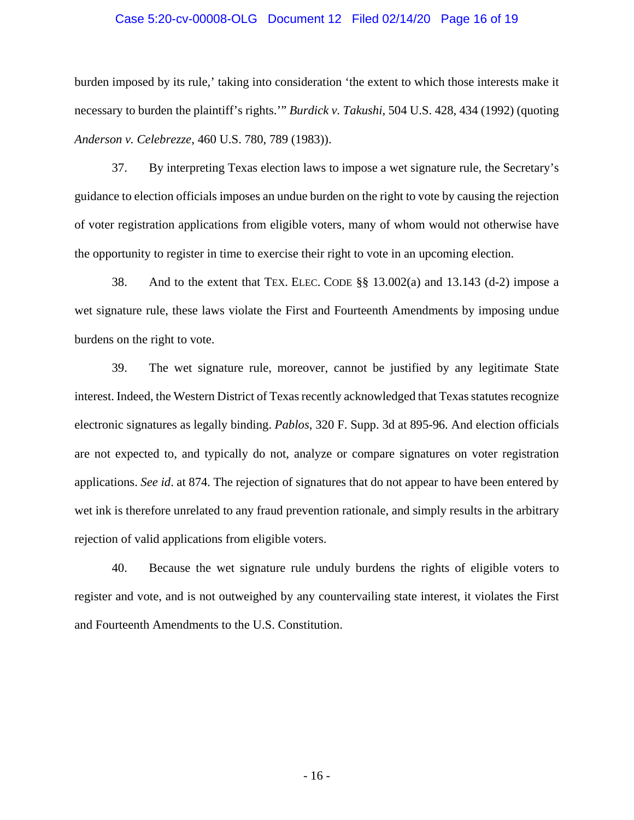#### Case 5:20-cv-00008-OLG Document 12 Filed 02/14/20 Page 16 of 19

burden imposed by its rule,' taking into consideration 'the extent to which those interests make it necessary to burden the plaintiff's rights.'" *Burdick v. Takushi*, 504 U.S. 428, 434 (1992) (quoting *Anderson v. Celebrezze*, 460 U.S. 780, 789 (1983)).

37. By interpreting Texas election laws to impose a wet signature rule, the Secretary's guidance to election officials imposes an undue burden on the right to vote by causing the rejection of voter registration applications from eligible voters, many of whom would not otherwise have the opportunity to register in time to exercise their right to vote in an upcoming election.

38. And to the extent that TEX. ELEC. CODE §§ 13.002(a) and 13.143 (d-2) impose a wet signature rule, these laws violate the First and Fourteenth Amendments by imposing undue burdens on the right to vote.

39. The wet signature rule, moreover, cannot be justified by any legitimate State interest. Indeed, the Western District of Texas recently acknowledged that Texas statutes recognize electronic signatures as legally binding. *Pablos*, 320 F. Supp. 3d at 895-96. And election officials are not expected to, and typically do not, analyze or compare signatures on voter registration applications. *See id*. at 874. The rejection of signatures that do not appear to have been entered by wet ink is therefore unrelated to any fraud prevention rationale, and simply results in the arbitrary rejection of valid applications from eligible voters.

40. Because the wet signature rule unduly burdens the rights of eligible voters to register and vote, and is not outweighed by any countervailing state interest, it violates the First and Fourteenth Amendments to the U.S. Constitution.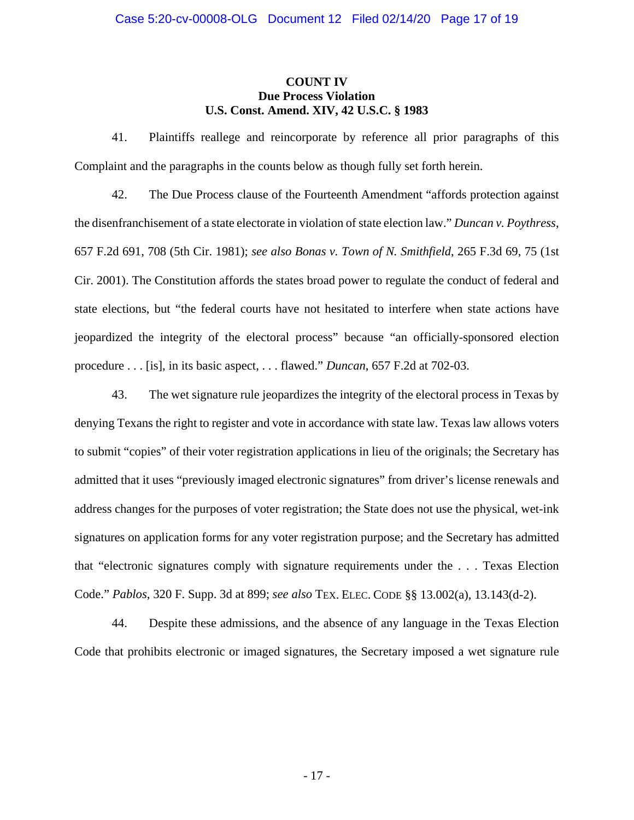### **COUNT IV Due Process Violation U.S. Const. Amend. XIV, 42 U.S.C. § 1983**

41. Plaintiffs reallege and reincorporate by reference all prior paragraphs of this Complaint and the paragraphs in the counts below as though fully set forth herein.

42. The Due Process clause of the Fourteenth Amendment "affords protection against the disenfranchisement of a state electorate in violation of state election law." *Duncan v. Poythress*, 657 F.2d 691, 708 (5th Cir. 1981); *see also Bonas v. Town of N. Smithfield*, 265 F.3d 69, 75 (1st Cir. 2001). The Constitution affords the states broad power to regulate the conduct of federal and state elections, but "the federal courts have not hesitated to interfere when state actions have jeopardized the integrity of the electoral process" because "an officially-sponsored election procedure . . . [is], in its basic aspect, . . . flawed." *Duncan*, 657 F.2d at 702-03.

43. The wet signature rule jeopardizes the integrity of the electoral process in Texas by denying Texans the right to register and vote in accordance with state law. Texas law allows voters to submit "copies" of their voter registration applications in lieu of the originals; the Secretary has admitted that it uses "previously imaged electronic signatures" from driver's license renewals and address changes for the purposes of voter registration; the State does not use the physical, wet-ink signatures on application forms for any voter registration purpose; and the Secretary has admitted that "electronic signatures comply with signature requirements under the . . . Texas Election Code." *Pablos*, 320 F. Supp. 3d at 899; *see also* TEX. ELEC. CODE §§ 13.002(a), 13.143(d-2).

44. Despite these admissions, and the absence of any language in the Texas Election Code that prohibits electronic or imaged signatures, the Secretary imposed a wet signature rule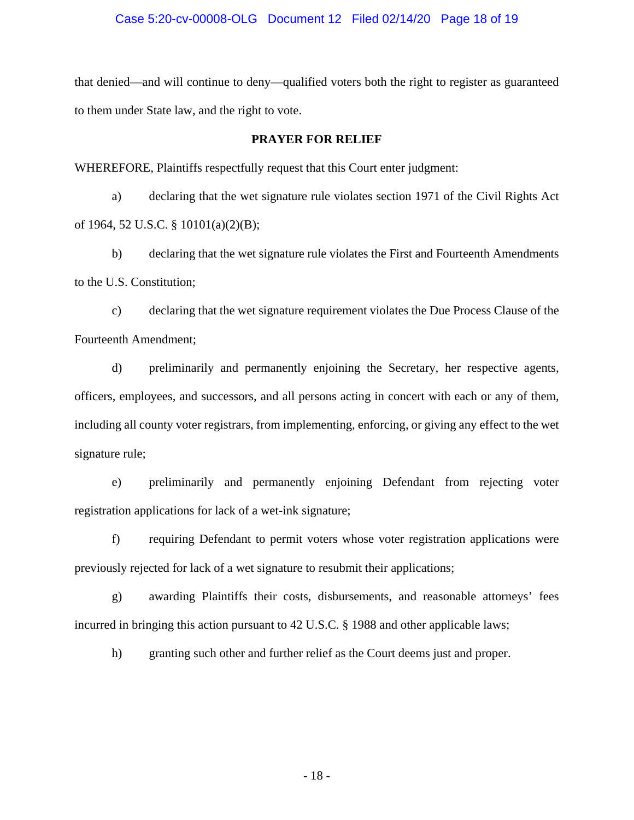#### Case 5:20-cv-00008-OLG Document 12 Filed 02/14/20 Page 18 of 19

that denied—and will continue to deny—qualified voters both the right to register as guaranteed to them under State law, and the right to vote.

#### **PRAYER FOR RELIEF**

WHEREFORE, Plaintiffs respectfully request that this Court enter judgment:

a) declaring that the wet signature rule violates section 1971 of the Civil Rights Act of 1964, 52 U.S.C. § 10101(a)(2)(B);

b) declaring that the wet signature rule violates the First and Fourteenth Amendments to the U.S. Constitution;

c) declaring that the wet signature requirement violates the Due Process Clause of the Fourteenth Amendment;

d) preliminarily and permanently enjoining the Secretary, her respective agents, officers, employees, and successors, and all persons acting in concert with each or any of them, including all county voter registrars, from implementing, enforcing, or giving any effect to the wet signature rule;

e) preliminarily and permanently enjoining Defendant from rejecting voter registration applications for lack of a wet-ink signature;

f) requiring Defendant to permit voters whose voter registration applications were previously rejected for lack of a wet signature to resubmit their applications;

g) awarding Plaintiffs their costs, disbursements, and reasonable attorneys' fees incurred in bringing this action pursuant to 42 U.S.C. § 1988 and other applicable laws;

h) granting such other and further relief as the Court deems just and proper.